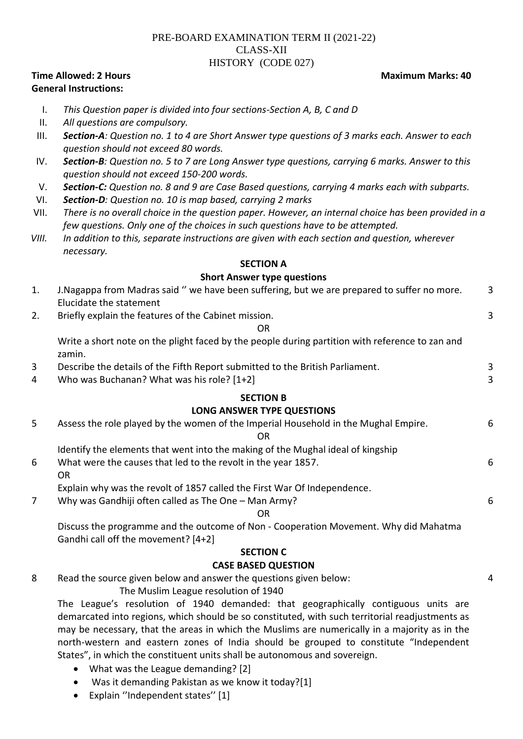# PRE-BOARD EXAMINATION TERM II (2021-22) CLASS-XII HISTORY (CODE 027)

## **Time Allowed: 2 Hours Maximum Marks: 40 and Maximum Marks: 40 and Maximum Marks: 40 and Maximum Marks: 40 and Maximum Marks: 40 and Maximum Marks: 40 and Maximum Marks: 40 and Maximum Marks: 40 and Maximum Marks: 40 and M General Instructions:**

# I. *This Question paper is divided into four sections-Section A, B, C and D*

- II. *All questions are compulsory.*
- III. *Section-A: Question no. 1 to 4 are Short Answer type questions of 3 marks each. Answer to each question should not exceed 80 words.*
- IV. *Section-B: Question no. 5 to 7 are Long Answer type questions, carrying 6 marks. Answer to this question should not exceed 150-200 words.*
- V. *Section-C: Question no. 8 and 9 are Case Based questions, carrying 4 marks each with subparts.*
- VI. *Section-D: Question no. 10 is map based, carrying 2 marks*
- VII. *There is no overall choice in the question paper. However, an internal choice has been provided in a few questions. Only one of the choices in such questions have to be attempted.*
- *VIII. In addition to this, separate instructions are given with each section and question, wherever necessary.*

#### **SECTION A**

#### **Short Answer type questions**

| 1.                                | J. Nagappa from Madras said " we have been suffering, but we are prepared to suffer no more.<br>Elucidate the statement | 3 |
|-----------------------------------|-------------------------------------------------------------------------------------------------------------------------|---|
| 2.                                | Briefly explain the features of the Cabinet mission.                                                                    | 3 |
|                                   |                                                                                                                         |   |
|                                   | <b>OR</b>                                                                                                               |   |
|                                   | Write a short note on the plight faced by the people during partition with reference to zan and<br>zamin.               |   |
| 3                                 | Describe the details of the Fifth Report submitted to the British Parliament.                                           | 3 |
| 4                                 | Who was Buchanan? What was his role? [1+2]                                                                              | 3 |
|                                   | <b>SECTION B</b>                                                                                                        |   |
| <b>LONG ANSWER TYPE QUESTIONS</b> |                                                                                                                         |   |
| 5                                 | Assess the role played by the women of the Imperial Household in the Mughal Empire.                                     | 6 |
|                                   | OR                                                                                                                      |   |
|                                   | Identify the elements that went into the making of the Mughal ideal of kingship                                         |   |
| 6                                 | What were the causes that led to the revolt in the year 1857.                                                           | 6 |
|                                   | <b>OR</b>                                                                                                               |   |
|                                   | Explain why was the revolt of 1857 called the First War Of Independence.                                                |   |
| 7                                 | Why was Gandhiji often called as The One - Man Army?                                                                    | 6 |
|                                   | <b>OR</b>                                                                                                               |   |
|                                   | Discuss the programme and the outcome of Non - Cooperation Movement. Why did Mahatma                                    |   |
|                                   | Gandhi call off the movement? [4+2]                                                                                     |   |
|                                   | <b>SECTION C</b>                                                                                                        |   |

#### **CASE BASED QUESTION**

8 Read the source given below and answer the questions given below:

4

The Muslim League resolution of 1940

The League's resolution of 1940 demanded: that geographically contiguous units are demarcated into regions, which should be so constituted, with such territorial readjustments as may be necessary, that the areas in which the Muslims are numerically in a majority as in the north-western and eastern zones of India should be grouped to constitute "Independent States", in which the constituent units shall be autonomous and sovereign.

- What was the League demanding? [2]
- Was it demanding Pakistan as we know it today?[1]
- Explain "Independent states" [1]